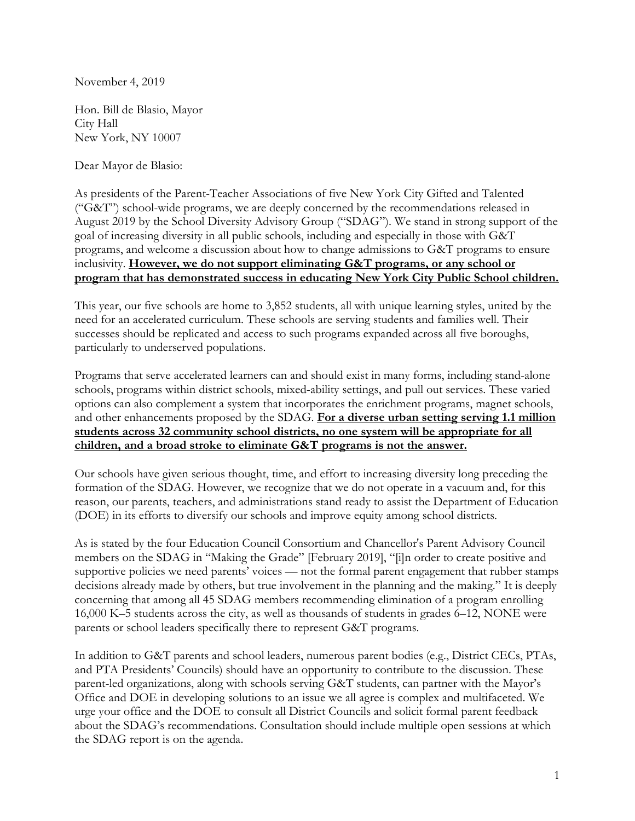November 4, 2019

Hon. Bill de Blasio, Mayor City Hall New York, NY 10007

Dear Mayor de Blasio:

As presidents of the Parent-Teacher Associations of five New York City Gifted and Talented ("G&T") school-wide programs, we are deeply concerned by the recommendations released in August 2019 by the School Diversity Advisory Group ("SDAG"). We stand in strong support of the goal of increasing diversity in all public schools, including and especially in those with G&T programs, and welcome a discussion about how to change admissions to G&T programs to ensure inclusivity. **However, we do not support eliminating G&T programs, or any school or program that has demonstrated success in educating New York City Public School children.** 

This year, our five schools are home to 3,852 students, all with unique learning styles, united by the need for an accelerated curriculum. These schools are serving students and families well. Their successes should be replicated and access to such programs expanded across all five boroughs, particularly to underserved populations.

Programs that serve accelerated learners can and should exist in many forms, including stand-alone schools, programs within district schools, mixed-ability settings, and pull out services. These varied options can also complement a system that incorporates the enrichment programs, magnet schools, and other enhancements proposed by the SDAG. **For a diverse urban setting serving 1.1 million students across 32 community school districts, no one system will be appropriate for all children, and a broad stroke to eliminate G&T programs is not the answer.**

Our schools have given serious thought, time, and effort to increasing diversity long preceding the formation of the SDAG. However, we recognize that we do not operate in a vacuum and, for this reason, our parents, teachers, and administrations stand ready to assist the Department of Education (DOE) in its efforts to diversify our schools and improve equity among school districts.

As is stated by the four Education Council Consortium and Chancellor's Parent Advisory Council members on the SDAG in "Making the Grade" [February 2019], "[i]n order to create positive and supportive policies we need parents' voices — not the formal parent engagement that rubber stamps decisions already made by others, but true involvement in the planning and the making." It is deeply concerning that among all 45 SDAG members recommending elimination of a program enrolling 16,000 K–5 students across the city, as well as thousands of students in grades 6–12, NONE were parents or school leaders specifically there to represent G&T programs.

In addition to G&T parents and school leaders, numerous parent bodies (e.g., District CECs, PTAs, and PTA Presidents' Councils) should have an opportunity to contribute to the discussion. These parent-led organizations, along with schools serving G&T students, can partner with the Mayor's Office and DOE in developing solutions to an issue we all agree is complex and multifaceted. We urge your office and the DOE to consult all District Councils and solicit formal parent feedback about the SDAG's recommendations. Consultation should include multiple open sessions at which the SDAG report is on the agenda.